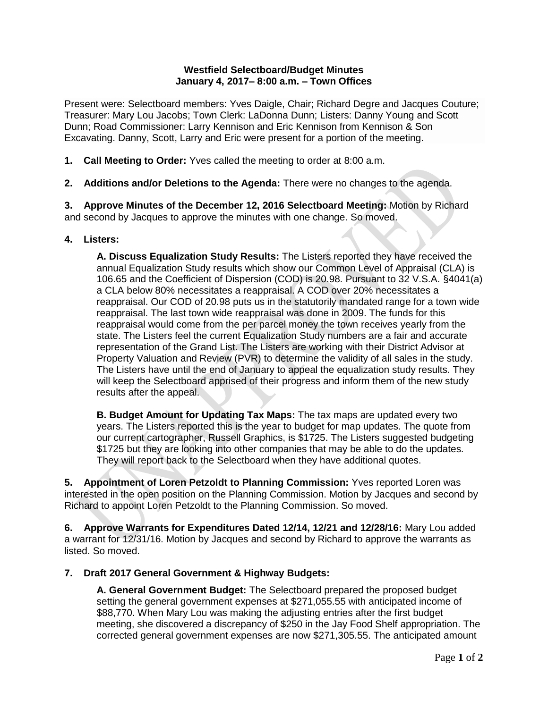## **Westfield Selectboard/Budget Minutes January 4, 2017– 8:00 a.m. – Town Offices**

Present were: Selectboard members: Yves Daigle, Chair; Richard Degre and Jacques Couture; Treasurer: Mary Lou Jacobs; Town Clerk: LaDonna Dunn; Listers: Danny Young and Scott Dunn; Road Commissioner: Larry Kennison and Eric Kennison from Kennison & Son Excavating. Danny, Scott, Larry and Eric were present for a portion of the meeting.

- **1. Call Meeting to Order:** Yves called the meeting to order at 8:00 a.m.
- **2. Additions and/or Deletions to the Agenda:** There were no changes to the agenda.

**3. Approve Minutes of the December 12, 2016 Selectboard Meeting:** Motion by Richard and second by Jacques to approve the minutes with one change. So moved.

## **4. Listers:**

**A. Discuss Equalization Study Results:** The Listers reported they have received the annual Equalization Study results which show our Common Level of Appraisal (CLA) is 106.65 and the Coefficient of Dispersion (COD) is 20.98. Pursuant to 32 V.S.A. §4041(a) a CLA below 80% necessitates a reappraisal. A COD over 20% necessitates a reappraisal. Our COD of 20.98 puts us in the statutorily mandated range for a town wide reappraisal. The last town wide reappraisal was done in 2009. The funds for this reappraisal would come from the per parcel money the town receives yearly from the state. The Listers feel the current Equalization Study numbers are a fair and accurate representation of the Grand List. The Listers are working with their District Advisor at Property Valuation and Review (PVR) to determine the validity of all sales in the study. The Listers have until the end of January to appeal the equalization study results. They will keep the Selectboard apprised of their progress and inform them of the new study results after the appeal.

**B. Budget Amount for Updating Tax Maps:** The tax maps are updated every two years. The Listers reported this is the year to budget for map updates. The quote from our current cartographer, Russell Graphics, is \$1725. The Listers suggested budgeting \$1725 but they are looking into other companies that may be able to do the updates. They will report back to the Selectboard when they have additional quotes.

**5. Appointment of Loren Petzoldt to Planning Commission:** Yves reported Loren was interested in the open position on the Planning Commission. Motion by Jacques and second by Richard to appoint Loren Petzoldt to the Planning Commission. So moved.

**6. Approve Warrants for Expenditures Dated 12/14, 12/21 and 12/28/16:** Mary Lou added a warrant for 12/31/16. Motion by Jacques and second by Richard to approve the warrants as listed. So moved.

## **7. Draft 2017 General Government & Highway Budgets:**

**A. General Government Budget:** The Selectboard prepared the proposed budget setting the general government expenses at \$271,055.55 with anticipated income of \$88,770. When Mary Lou was making the adjusting entries after the first budget meeting, she discovered a discrepancy of \$250 in the Jay Food Shelf appropriation. The corrected general government expenses are now \$271,305.55. The anticipated amount